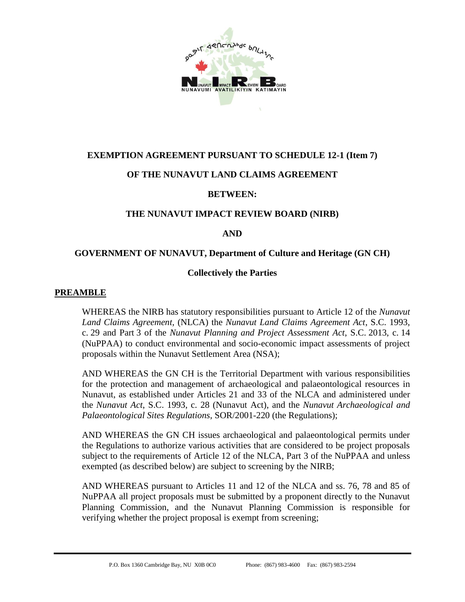

# **EXEMPTION AGREEMENT PURSUANT TO SCHEDULE 12-1 (Item 7)**

# **OF THE NUNAVUT LAND CLAIMS AGREEMENT**

### **BETWEEN:**

### **THE NUNAVUT IMPACT REVIEW BOARD (NIRB)**

#### <span id="page-0-0"></span>**AND**

#### **GOVERNMENT OF NUNAVUT, Department of Culture and Heritage (GN CH)**

### **Collectively the Parties**

#### **PREAMBLE**

WHEREAS the NIRB has statutory responsibilities pursuant to Article 12 of the *Nunavut Land Claims Agreement,* (NLCA) the *Nunavut Land Claims Agreement Act*, S.C. 1993, c. 29 and Part 3 of the *Nunavut Planning and Project Assessment Act*, S.C. 2013, c. 14 (NuPPAA) to conduct environmental and socio-economic impact assessments of project proposals within the Nunavut Settlement Area (NSA);

AND WHEREAS the [GN CH](#page-0-0) is the Territorial Department with various responsibilities for the protection and management of archaeological and palaeontological resources in Nunavut, as established under Articles 21 and 33 of the NLCA and administered under the *Nunavut Act*, S.C. 1993, c. 28 (Nunavut Act), and the *Nunavut Archaeological and Palaeontological Sites Regulations*, SOR/2001-220 (the Regulations);

AND WHEREAS the [GN CH](#page-0-0) issues archaeological and palaeontological permits under the Regulations to authorize various activities that are considered to be project proposals subject to the requirements of Article 12 of the NLCA, Part 3 of the NuPPAA and unless exempted (as described below) are subject to screening by the NIRB;

AND WHEREAS pursuant to Articles 11 and 12 of the NLCA and ss. 76, 78 and 85 of NuPPAA all project proposals must be submitted by a proponent directly to the Nunavut Planning Commission, and the Nunavut Planning Commission is responsible for verifying whether the project proposal is exempt from screening;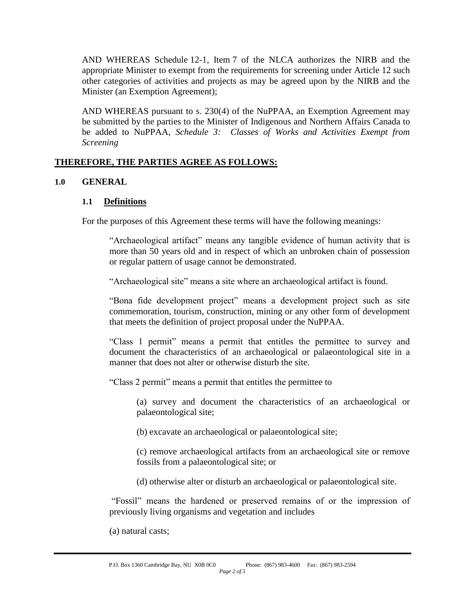AND WHEREAS Schedule 12-1, Item 7 of the NLCA authorizes the NIRB and the appropriate Minister to exempt from the requirements for screening under Article 12 such other categories of activities and projects as may be agreed upon by the NIRB and the Minister (an Exemption Agreement);

AND WHEREAS pursuant to s. 230(4) of the NuPPAA, an Exemption Agreement may be submitted by the parties to the Minister of Indigenous and Northern Affairs Canada to be added to NuPPAA, *Schedule 3: Classes of Works and Activities Exempt from Screening*

### **THEREFORE, THE PARTIES AGREE AS FOLLOWS:**

### **1.0 GENERAL**

#### **1.1 Definitions**

For the purposes of this Agreement these terms will have the following meanings:

"Archaeological artifact" means any tangible evidence of human activity that is more than 50 years old and in respect of which an unbroken chain of possession or regular pattern of usage cannot be demonstrated.

"Archaeological site" means a site where an archaeological artifact is found.

"Bona fide development project" means a development project such as site commemoration, tourism, construction, mining or any other form of development that meets the definition of project proposal under the NuPPAA.

"Class 1 permit" means a permit that entitles the permittee to survey and document the characteristics of an archaeological or palaeontological site in a manner that does not alter or otherwise disturb the site.

"Class 2 permit" means a permit that entitles the permittee to

(a) survey and document the characteristics of an archaeological or palaeontological site;

(b) excavate an archaeological or palaeontological site;

(c) remove archaeological artifacts from an archaeological site or remove fossils from a palaeontological site; or

(d) otherwise alter or disturb an archaeological or palaeontological site.

"Fossil" means the hardened or preserved remains of or the impression of previously living organisms and vegetation and includes

(a) natural casts;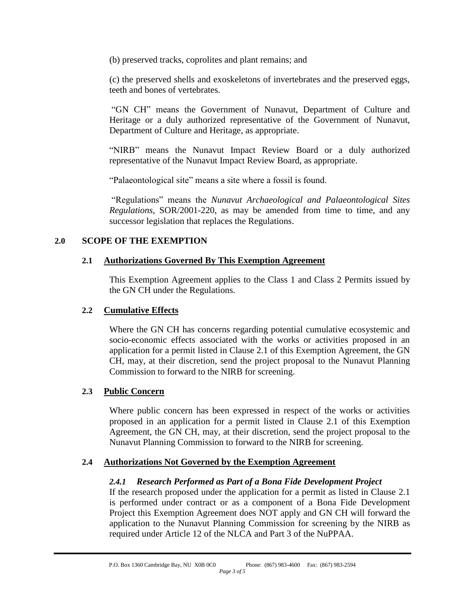(b) preserved tracks, coprolites and plant remains; and

(c) the preserved shells and exoskeletons of invertebrates and the preserved eggs, teeth and bones of vertebrates.

["GN CH"](#page-0-0) means the Government of Nunavut, Department of Culture and Heritage or a duly authorized representative of the Government of Nunavut, Department of Culture and Heritage, as appropriate.

"NIRB" means the Nunavut Impact Review Board or a duly authorized representative of the Nunavut Impact Review Board, as appropriate.

"Palaeontological site" means a site where a fossil is found.

"Regulations" means the *Nunavut Archaeological and Palaeontological Sites Regulations*, SOR/2001-220, as may be amended from time to time, and any successor legislation that replaces the Regulations.

#### <span id="page-2-0"></span>**2.0 SCOPE OF THE EXEMPTION**

#### **2.1 Authorizations Governed By This Exemption Agreement**

This Exemption Agreement applies to the Class 1 and Class 2 Permits issued by the [GN CH](#page-0-0) under the Regulations.

#### **2.2 Cumulative Effects**

Where the [GN CH](#page-0-0) has concerns regarding potential cumulative ecosystemic and socio-economic effects associated with the works or activities proposed in an application for a permit listed in Clause [2.1](#page-2-0) of this Exemption Agreement, the [GN](#page-0-0)  [CH,](#page-0-0) may, at their discretion, send the project proposal to the Nunavut Planning Commission to forward to the NIRB for screening.

#### **2.3 Public Concern**

Where public concern has been expressed in respect of the works or activities proposed in an application for a permit listed in Clause [2.1](#page-2-0) of this Exemption Agreement, the [GN CH,](#page-0-0) may, at their discretion, send the project proposal to the Nunavut Planning Commission to forward to the NIRB for screening.

#### **2.4 Authorizations Not Governed by the Exemption Agreement**

#### *2.4.1 Research Performed as Part of a Bona Fide Development Project*

If the research proposed under the application for a permit as listed in Clause [2.1](#page-2-0) is performed under contract or as a component of a Bona Fide Development Project this Exemption Agreement does NOT apply and [GN CH](#page-0-0) will forward the application to the Nunavut Planning Commission for screening by the NIRB as required under Article 12 of the NLCA and Part 3 of the NuPPAA.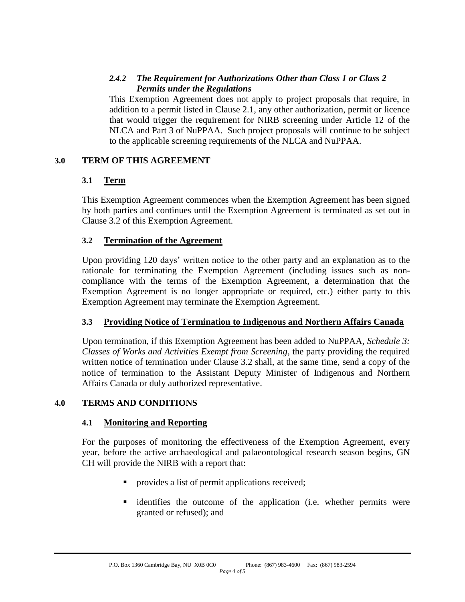# *2.4.2 The Requirement for Authorizations Other than Class 1 or Class 2 Permits under the Regulations*

This Exemption Agreement does not apply to project proposals that require, in addition to a permit listed in Clause 2.1, any other authorization, permit or licence that would trigger the requirement for NIRB screening under Article 12 of the NLCA and Part 3 of NuPPAA. Such project proposals will continue to be subject to the applicable screening requirements of the NLCA and NuPPAA.

# **3.0 TERM OF THIS AGREEMENT**

# **3.1 Term**

This Exemption Agreement commences when the Exemption Agreement has been signed by both parties and continues until the Exemption Agreement is terminated as set out in Clause [3.2](#page-3-0) of this Exemption Agreement.

# <span id="page-3-0"></span>**3.2 Termination of the Agreement**

Upon providing 120 days' written notice to the other party and an explanation as to the rationale for terminating the Exemption Agreement (including issues such as noncompliance with the terms of the Exemption Agreement, a determination that the Exemption Agreement is no longer appropriate or required, etc.) either party to this Exemption Agreement may terminate the Exemption Agreement.

# **3.3 Providing Notice of Termination to Indigenous and Northern Affairs Canada**

Upon termination, if this Exemption Agreement has been added to NuPPAA, *Schedule 3: Classes of Works and Activities Exempt from Screening*, the party providing the required written notice of termination under Clause [3.2](#page-3-0) shall, at the same time, send a copy of the notice of termination to the Assistant Deputy Minister of Indigenous and Northern Affairs Canada or duly authorized representative.

# **4.0 TERMS AND CONDITIONS**

# **4.1 Monitoring and Reporting**

For the purposes of monitoring the effectiveness of the Exemption Agreement, every year, before the active archaeological and palaeontological research season begins, [GN](#page-0-0)  [CH](#page-0-0) will provide the NIRB with a report that:

- provides a list of permit applications received;
- identifies the outcome of the application (i.e. whether permits were granted or refused); and